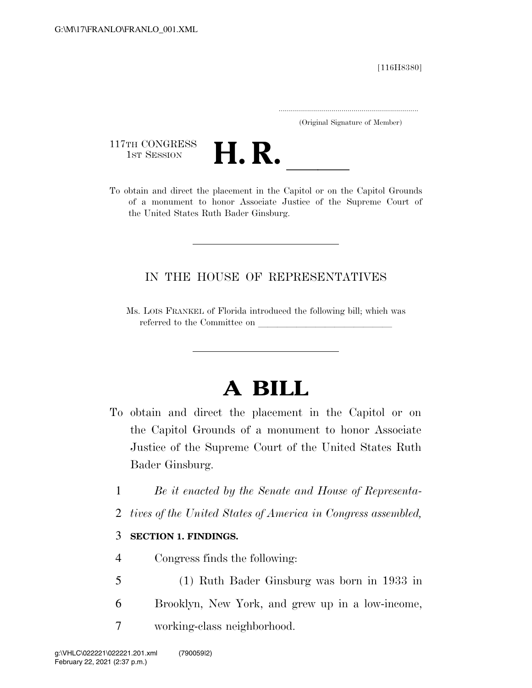[116H8380]

.....................................................................

(Original Signature of Member)

117TH CONGRESS<br>1st Session



117TH CONGRESS<br>
1ST SESSION<br>
To obtain and direct the placement in the Capitol or on the Capitol Grounds of a monument to honor Associate Justice of the Supreme Court of the United States Ruth Bader Ginsburg.

## IN THE HOUSE OF REPRESENTATIVES

Ms. LOIS FRANKEL of Florida introduced the following bill; which was referred to the Committee on

## **A BILL**

- To obtain and direct the placement in the Capitol or on the Capitol Grounds of a monument to honor Associate Justice of the Supreme Court of the United States Ruth Bader Ginsburg.
	- 1 *Be it enacted by the Senate and House of Representa-*
	- 2 *tives of the United States of America in Congress assembled,*

## 3 **SECTION 1. FINDINGS.**

- 4 Congress finds the following:
- 5 (1) Ruth Bader Ginsburg was born in 1933 in
- 6 Brooklyn, New York, and grew up in a low-income,
- 7 working-class neighborhood.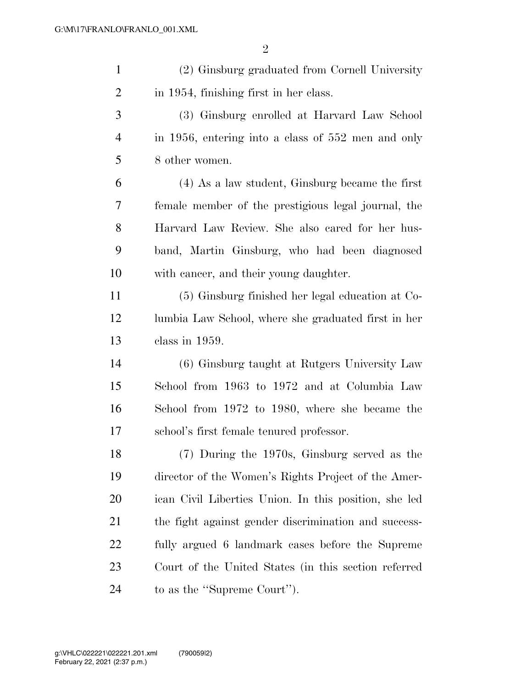| $\mathbf{1}$   | (2) Ginsburg graduated from Cornell University        |
|----------------|-------------------------------------------------------|
| $\overline{2}$ | in 1954, finishing first in her class.                |
| $\mathfrak{Z}$ | (3) Ginsburg enrolled at Harvard Law School           |
| $\overline{4}$ | in 1956, entering into a class of 552 men and only    |
| 5              | 8 other women.                                        |
| 6              | $(4)$ As a law student, Ginsburg became the first     |
| 7              | female member of the prestigious legal journal, the   |
| 8              | Harvard Law Review. She also cared for her hus-       |
| 9              | band, Martin Ginsburg, who had been diagnosed         |
| 10             | with cancer, and their young daughter.                |
| 11             | (5) Ginsburg finished her legal education at Co-      |
| 12             | lumbia Law School, where she graduated first in her   |
| 13             | class in 1959.                                        |
| 14             | (6) Ginsburg taught at Rutgers University Law         |
| 15             | School from 1963 to 1972 and at Columbia Law          |
| 16             | School from 1972 to 1980, where she became the        |
| 17             | school's first female tenured professor.              |
| 18             | (7) During the 1970s, Ginsburg served as the          |
| 19             | director of the Women's Rights Project of the Amer-   |
| <b>20</b>      | ican Civil Liberties Union. In this position, she led |
| 21             | the fight against gender discrimination and success-  |
| 22             | fully argued 6 landmark cases before the Supreme      |
| 23             | Court of the United States (in this section referred  |
| 24             | to as the "Supreme Court").                           |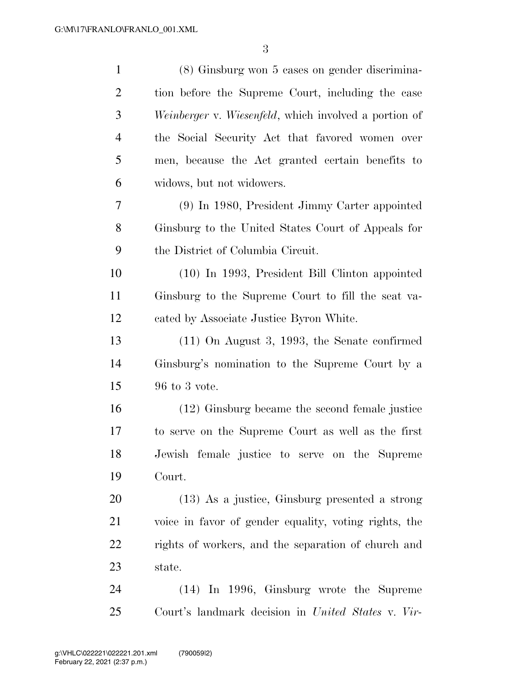| $\mathbf{1}$   | (8) Ginsburg won 5 cases on gender discrimina-        |
|----------------|-------------------------------------------------------|
| $\overline{2}$ | tion before the Supreme Court, including the case     |
| 3              | Weinberger v. Wiesenfeld, which involved a portion of |
| $\overline{4}$ | the Social Security Act that favored women over       |
| 5              | men, because the Act granted certain benefits to      |
| 6              | widows, but not widowers.                             |
| 7              | (9) In 1980, President Jimmy Carter appointed         |
| 8              | Ginsburg to the United States Court of Appeals for    |
| 9              | the District of Columbia Circuit.                     |
| 10             | (10) In 1993, President Bill Clinton appointed        |
| 11             | Ginsburg to the Supreme Court to fill the seat va-    |
| 12             | cated by Associate Justice Byron White.               |
| 13             | $(11)$ On August 3, 1993, the Senate confirmed        |
| 14             | Ginsburg's nomination to the Supreme Court by a       |
| 15             | 96 to 3 vote.                                         |
| 16             | (12) Ginsburg became the second female justice        |
| 17             | to serve on the Supreme Court as well as the first    |
| 18             | Jewish female justice to serve on the Supreme         |
| 19             | Court.                                                |
| 20             | (13) As a justice, Ginsburg presented a strong        |
| 21             | voice in favor of gender equality, voting rights, the |
| 22             | rights of workers, and the separation of church and   |
| 23             | state.                                                |
| 24             | $(14)$ In 1996, Ginsburg wrote the Supreme            |
| 25             | Court's landmark decision in United States v. Vir-    |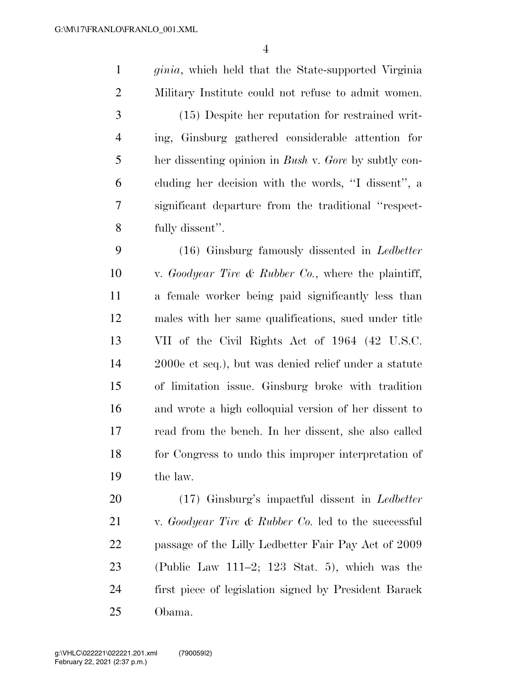*ginia*, which held that the State-supported Virginia Military Institute could not refuse to admit women.

 (15) Despite her reputation for restrained writ- ing, Ginsburg gathered considerable attention for her dissenting opinion in *Bush* v. *Gore* by subtly con- cluding her decision with the words, ''I dissent'', a significant departure from the traditional ''respect-fully dissent''.

 (16) Ginsburg famously dissented in *Ledbetter*  v. *Goodyear Tire & Rubber Co.*, where the plaintiff, a female worker being paid significantly less than males with her same qualifications, sued under title VII of the Civil Rights Act of 1964 (42 U.S.C. 2000e et seq.), but was denied relief under a statute of limitation issue. Ginsburg broke with tradition and wrote a high colloquial version of her dissent to read from the bench. In her dissent, she also called for Congress to undo this improper interpretation of the law.

 (17) Ginsburg's impactful dissent in *Ledbetter*  v. *Goodyear Tire & Rubber Co.* led to the successful passage of the Lilly Ledbetter Fair Pay Act of 2009 (Public Law 111–2; 123 Stat. 5), which was the first piece of legislation signed by President Barack Obama.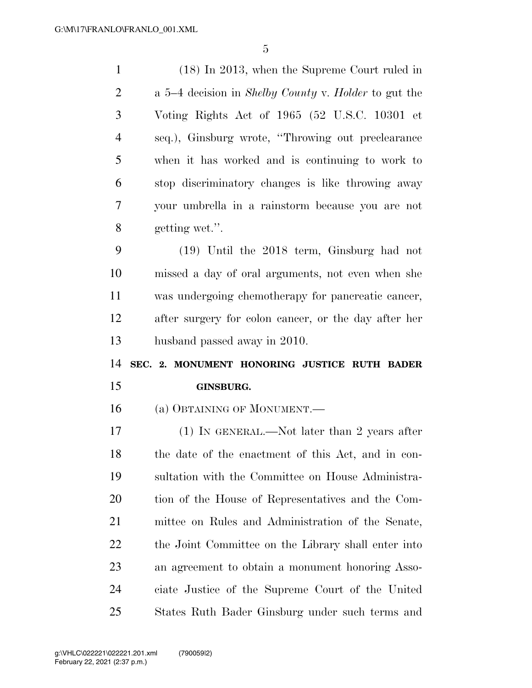(18) In 2013, when the Supreme Court ruled in a 5–4 decision in *Shelby County* v. *Holder* to gut the Voting Rights Act of 1965 (52 U.S.C. 10301 et seq.), Ginsburg wrote, ''Throwing out preclearance when it has worked and is continuing to work to stop discriminatory changes is like throwing away your umbrella in a rainstorm because you are not getting wet.''. (19) Until the 2018 term, Ginsburg had not missed a day of oral arguments, not even when she was undergoing chemotherapy for pancreatic cancer, after surgery for colon cancer, or the day after her husband passed away in 2010. **SEC. 2. MONUMENT HONORING JUSTICE RUTH BADER GINSBURG.**  (a) OBTAINING OF MONUMENT.— (1) IN GENERAL.—Not later than 2 years after the date of the enactment of this Act, and in con- sultation with the Committee on House Administra- tion of the House of Representatives and the Com- mittee on Rules and Administration of the Senate, 22 the Joint Committee on the Library shall enter into an agreement to obtain a monument honoring Asso- ciate Justice of the Supreme Court of the United States Ruth Bader Ginsburg under such terms and